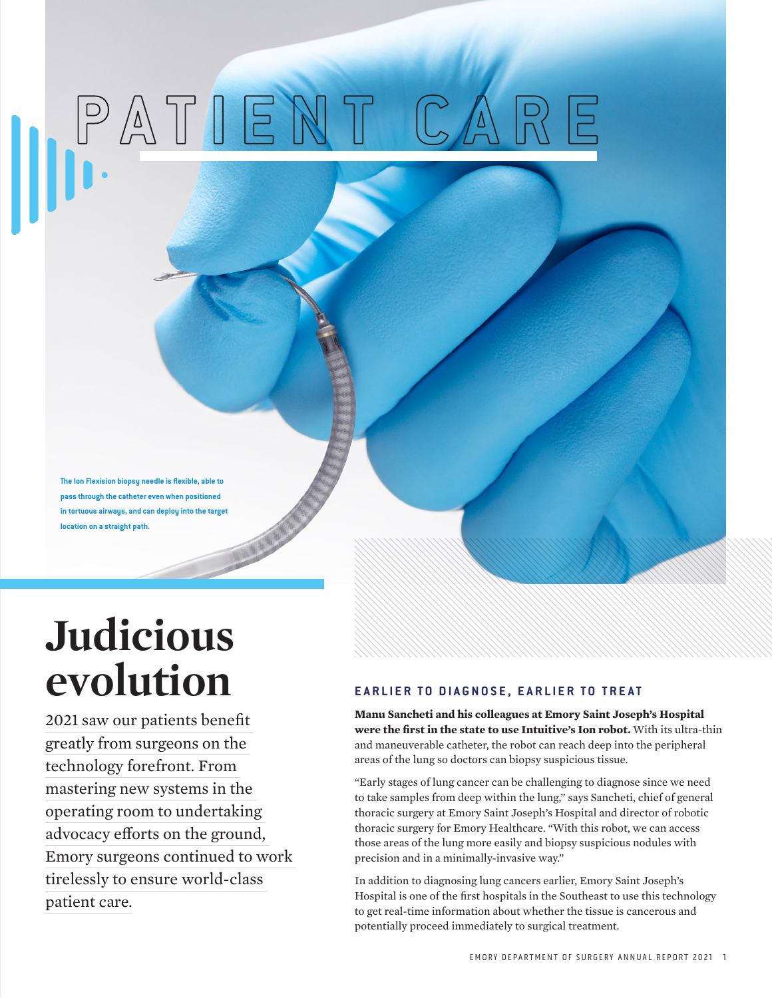# **PATIENT CARE**

**The Ion Flexision biopsy needle is flexible, able to pass through the catheter even when positioned in tortuous airways, and can deploy into the target location on a straight path.**

# **Judicious evolution**

2021 saw our patients benefit greatly from surgeons on the technology forefront. From mastering new systems in the operating room to undertaking advocacy efforts on the ground, Emory surgeons continued to work tirelessly to ensure world-class patient care.

### **EARLIER TO DIAGNOSE, EARLIER TO TREAT**

**Manu Sancheti and his colleagues at Emory Saint Joseph's Hospital were the first in the state to use Intuitive's Ion robot.** With its ultra-thin and maneuverable catheter, the robot can reach deep into the peripheral areas of the lung so doctors can biopsy suspicious tissue.

"Early stages of lung cancer can be challenging to diagnose since we need to take samples from deep within the lung," says Sancheti, chief of general thoracic surgery at Emory Saint Joseph's Hospital and director of robotic thoracic surgery for Emory Healthcare. "With this robot, we can access those areas of the lung more easily and biopsy suspicious nodules with precision and in a minimally-invasive way."

In addition to diagnosing lung cancers earlier, Emory Saint Joseph's Hospital is one of the first hospitals in the Southeast to use this technology to get real-time information about whether the tissue is cancerous and potentially proceed immediately to surgical treatment.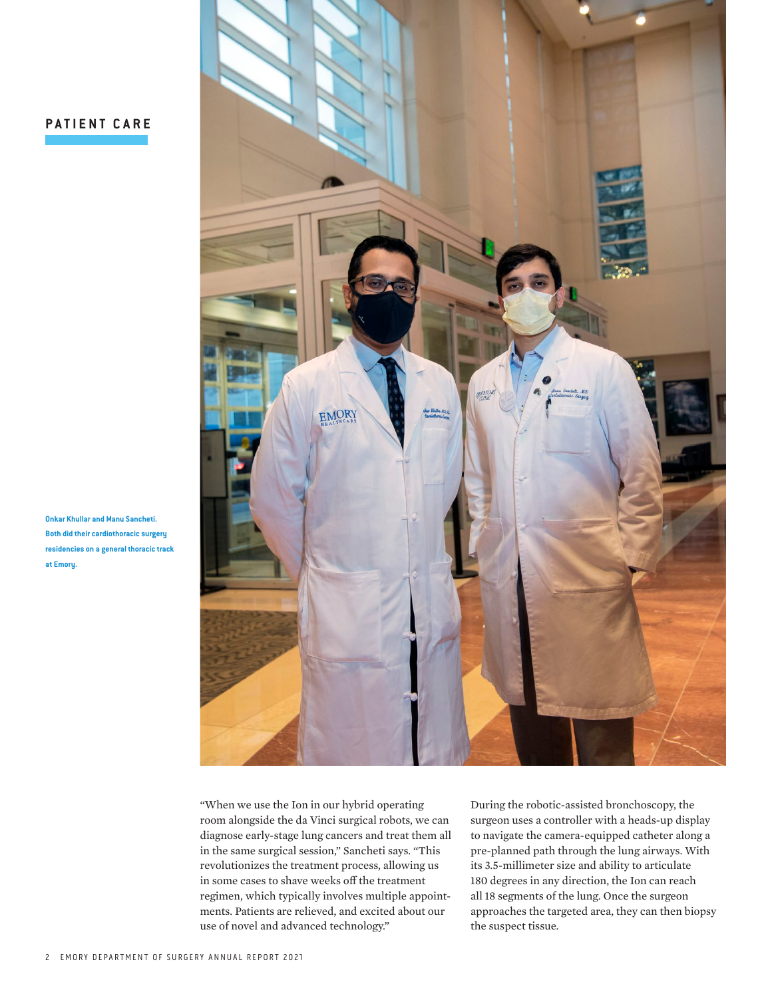## **PATIENT CARE**

**Onkar Khullar and Manu Sancheti. Both did their cardiothoracic surgery residencies on a general thoracic track at Emory.**



"When we use the Ion in our hybrid operating room alongside the da Vinci surgical robots, we can diagnose early-stage lung cancers and treat them all in the same surgical session," Sancheti says. "This revolutionizes the treatment process, allowing us in some cases to shave weeks off the treatment regimen, which typically involves multiple appointments. Patients are relieved, and excited about our use of novel and advanced technology."

During the robotic-assisted bronchoscopy, the surgeon uses a controller with a heads-up display to navigate the camera-equipped catheter along a pre-planned path through the lung airways. With its 3.5-millimeter size and ability to articulate 180 degrees in any direction, the Ion can reach all 18 segments of the lung. Once the surgeon approaches the targeted area, they can then biopsy the suspect tissue.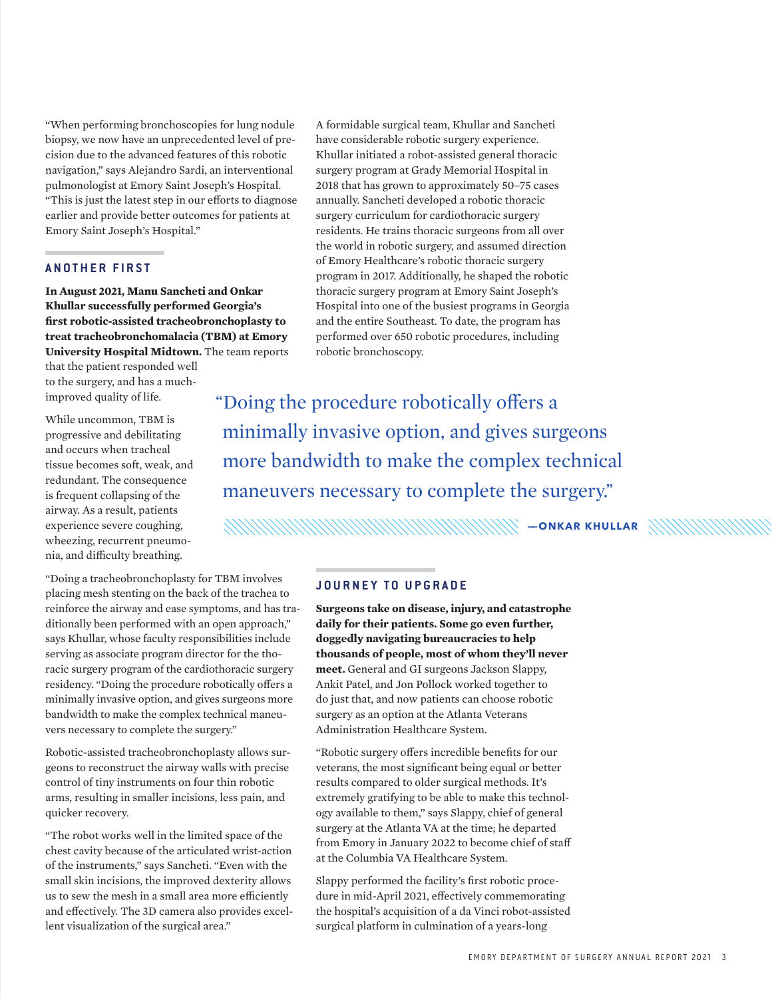"When performing bronchoscopies for lung nodule biopsy, we now have an unprecedented level of precision due to the advanced features of this robotic navigation," says Alejandro Sardi, an interventional pulmonologist at Emory Saint Joseph's Hospital. "This is just the latest step in our efforts to diagnose earlier and provide better outcomes for patients at Emory Saint Joseph's Hospital."

#### **A N O T H E R F I R S T**

**In August 2021, Manu Sancheti and Onkar Khullar successfully performed Georgia's first robotic-assisted tracheobronchoplasty to treat tracheobronchomalacia (TBM) at Emory University Hospital Midtown.** The team reports

that the patient responded well to the surgery, and has a muchimproved quality of life.

While uncommon, TBM is progressive and debilitating and occurs when tracheal tissue becomes soft, weak, and redundant. The consequence is frequent collapsing of the airway. As a result, patients experience severe coughing, wheezing, recurrent pneumonia, and difficulty breathing.

"Doing a tracheobronchoplasty for TBM involves placing mesh stenting on the back of the trachea to reinforce the airway and ease symptoms, and has traditionally been performed with an open approach," says Khullar, whose faculty responsibilities include serving as associate program director for the thoracic surgery program of the cardiothoracic surgery residency. "Doing the procedure robotically offers a minimally invasive option, and gives surgeons more bandwidth to make the complex technical maneuvers necessary to complete the surgery."

Robotic-assisted tracheobronchoplasty allows surgeons to reconstruct the airway walls with precise control of tiny instruments on four thin robotic arms, resulting in smaller incisions, less pain, and quicker recovery.

"The robot works well in the limited space of the chest cavity because of the articulated wrist-action of the instruments," says Sancheti. "Even with the small skin incisions, the improved dexterity allows us to sew the mesh in a small area more efficiently and effectively. The 3D camera also provides excellent visualization of the surgical area."

A formidable surgical team, Khullar and Sancheti have considerable robotic surgery experience. Khullar initiated a robot-assisted general thoracic surgery program at Grady Memorial Hospital in 2018 that has grown to approximately 50–75 cases annually. Sancheti developed a robotic thoracic surgery curriculum for cardiothoracic surgery residents. He trains thoracic surgeons from all over the world in robotic surgery, and assumed direction of Emory Healthcare's robotic thoracic surgery program in 2017. Additionally, he shaped the robotic thoracic surgery program at Emory Saint Joseph's Hospital into one of the busiest programs in Georgia and the entire Southeast. To date, the program has performed over 650 robotic procedures, including robotic bronchoscopy.

"Doing the procedure robotically offers a minimally invasive option, and gives surgeons more bandwidth to make the complex technical maneuvers necessary to complete the surgery."

**——ONKAR KHULLAR**

#### **JOURNEY TO UPGRADE**

**Surgeons take on disease, injury, and catastrophe daily for their patients. Some go even further, doggedly navigating bureaucracies to help thousands of people, most of whom they'll never meet.** General and GI surgeons Jackson Slappy, Ankit Patel, and Jon Pollock worked together to do just that, and now patients can choose robotic surgery as an option at the Atlanta Veterans Administration Healthcare System.

"Robotic surgery offers incredible benefits for our veterans, the most significant being equal or better results compared to older surgical methods. It's extremely gratifying to be able to make this technology available to them," says Slappy, chief of general surgery at the Atlanta VA at the time; he departed from Emory in January 2022 to become chief of staff at the Columbia VA Healthcare System.

Slappy performed the facility's first robotic procedure in mid-April 2021, effectively commemorating the hospital's acquisition of a da Vinci robot-assisted surgical platform in culmination of a years-long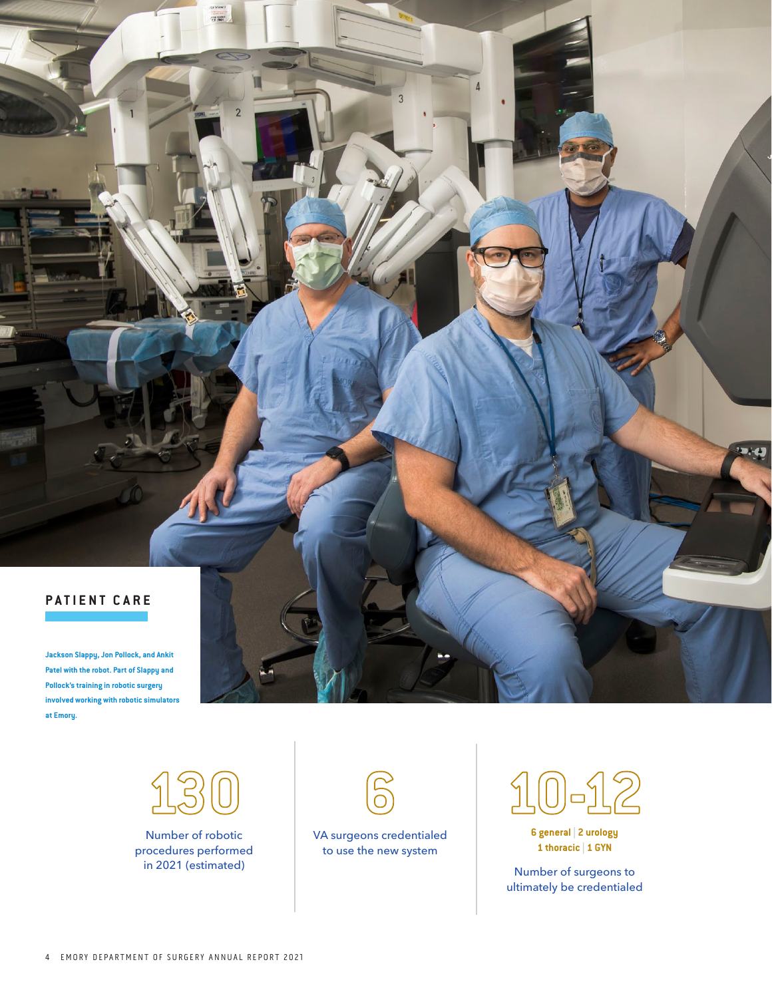

**Patel with the robot. Part of Slappy and Pollock's training in robotic surgery involved working with robotic simulators at Emory.**



 $\overline{2}$ 

Number of robotic procedures performed in 2021 (estimated)



VA surgeons credentialed to use the new system



**6 general | 2 urology 1 thoracic | 1 GYN**

Number of surgeons to ultimately be credentialed